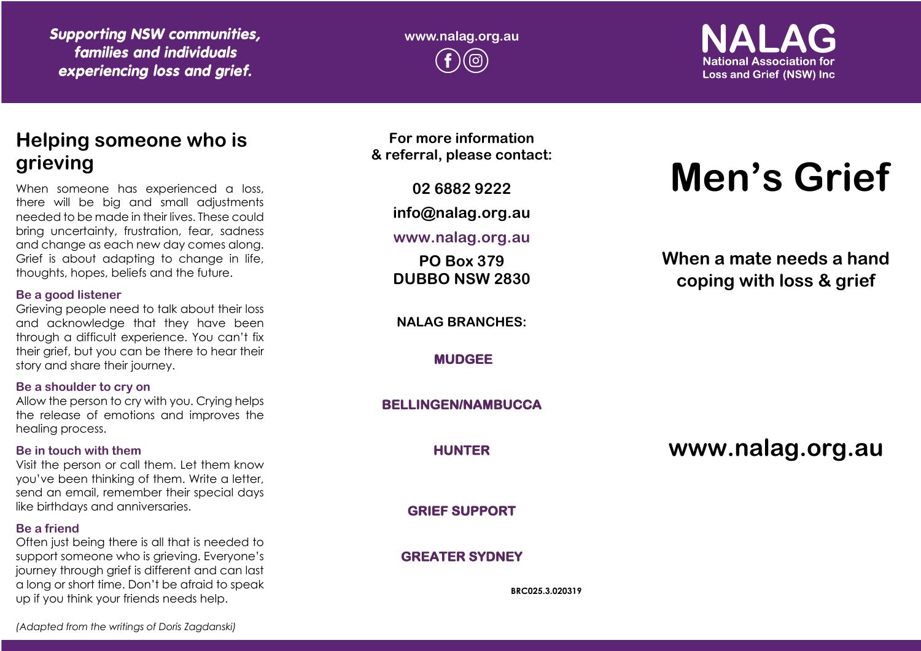*Supporting NSW communities, families and individuals experiencing loss and grief.*

**www.nalag.org.au**

**National Association for Loss and Grief (NSW) Inc.** 

## **Helping someone who is grieving**

When someone has experienced a loss, there will be big and small adjustments needed to be made in their lives. These could bring uncertainty, frustration, fear, sadness and change as each new day comes along. Grief is about adapting to change in life, thoughts, hopes, beliefs and the future.

#### **Be a good listener**

Grieving people need to talk about their loss and acknowledge that they have been through a difficult experience. You can't fix their grief, but you can be there to hear their story and share their journey.

#### **Be a shoulder to cry on**

Allow the person to cry with you. Crying helps the release of emotions and improves the healing process.

#### **Be in touch with them**

Visit the person or call them. Let them know you've been thinking of them. Write a letter, send an email, remember their special days like birthdays and anniversaries.

#### **Be a friend**

Often just being there is all that is needed to support someone who is grieving. Everyone's journey through grief is different and can last a long or short time. Don't be afraid to speak up if you think your friends needs help.

**For more information & referral, please contact:**

**02 6882 9222**

**info@nalag.org.au**

**www.nalag.org.au**

**PO Box 379 DUBBO NSW 2830**

**NALAG BRANCHES:**

**MUDGEE** 

**BELLINGEN/NAMBUCCA** 

**HUNTER** 

**GRIEF SUPPORT** 

## **GREATER SYDNEY**

**BRC025.3.020319**

# **Men's Grief**

**When a mate needs a hand coping with loss & grief**

**www.nalag.org.au**

*(Adapted from the writings of Doris Zagdanski)*